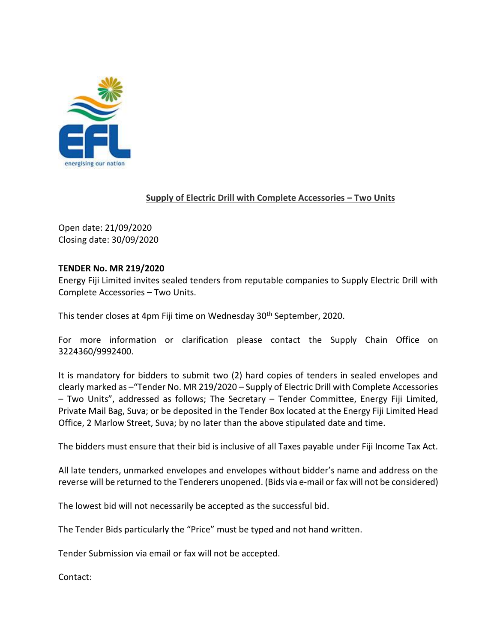

## **Supply of Electric Drill with Complete Accessories – Two Units**

Open date: 21/09/2020 Closing date: 30/09/2020

## **TENDER No. MR 219/2020**

Energy Fiji Limited invites sealed tenders from reputable companies to Supply Electric Drill with Complete Accessories – Two Units.

This tender closes at 4pm Fiji time on Wednesday 30<sup>th</sup> September, 2020.

For more information or clarification please contact the Supply Chain Office on 3224360/9992400.

It is mandatory for bidders to submit two (2) hard copies of tenders in sealed envelopes and clearly marked as –"Tender No. MR 219/2020 – Supply of Electric Drill with Complete Accessories – Two Units", addressed as follows; The Secretary – Tender Committee, Energy Fiji Limited, Private Mail Bag, Suva; or be deposited in the Tender Box located at the Energy Fiji Limited Head Office, 2 Marlow Street, Suva; by no later than the above stipulated date and time.

The bidders must ensure that their bid is inclusive of all Taxes payable under Fiji Income Tax Act.

All late tenders, unmarked envelopes and envelopes without bidder's name and address on the reverse will be returned to the Tenderers unopened. (Bids via e-mail or fax will not be considered)

The lowest bid will not necessarily be accepted as the successful bid.

The Tender Bids particularly the "Price" must be typed and not hand written.

Tender Submission via email or fax will not be accepted.

Contact: